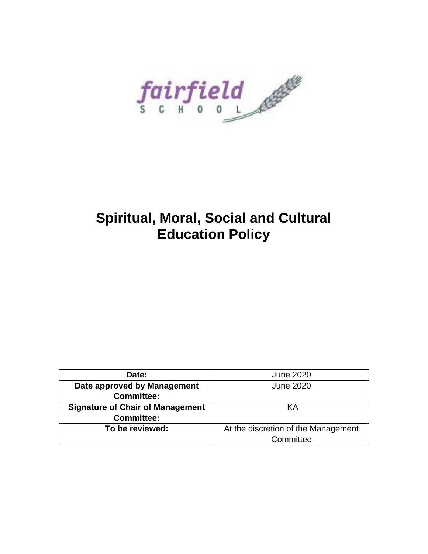fairfield

# **Spiritual, Moral, Social and Cultural Education Policy**

| Date:                                   | <b>June 2020</b>                    |
|-----------------------------------------|-------------------------------------|
| Date approved by Management             | <b>June 2020</b>                    |
| <b>Committee:</b>                       |                                     |
| <b>Signature of Chair of Management</b> | KА                                  |
| <b>Committee:</b>                       |                                     |
| To be reviewed:                         | At the discretion of the Management |
|                                         | Committee                           |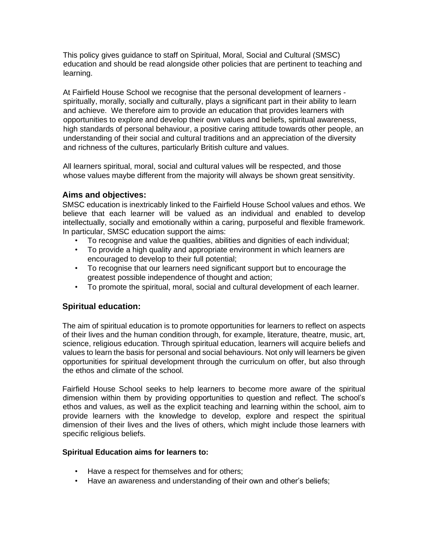This policy gives guidance to staff on Spiritual, Moral, Social and Cultural (SMSC) education and should be read alongside other policies that are pertinent to teaching and learning.

At Fairfield House School we recognise that the personal development of learners spiritually, morally, socially and culturally, plays a significant part in their ability to learn and achieve. We therefore aim to provide an education that provides learners with opportunities to explore and develop their own values and beliefs, spiritual awareness, high standards of personal behaviour, a positive caring attitude towards other people, an understanding of their social and cultural traditions and an appreciation of the diversity and richness of the cultures, particularly British culture and values.

All learners spiritual, moral, social and cultural values will be respected, and those whose values maybe different from the majority will always be shown great sensitivity.

## **Aims and objectives:**

SMSC education is inextricably linked to the Fairfield House School values and ethos. We believe that each learner will be valued as an individual and enabled to develop intellectually, socially and emotionally within a caring, purposeful and flexible framework. In particular, SMSC education support the aims:

- To recognise and value the qualities, abilities and dignities of each individual;
- To provide a high quality and appropriate environment in which learners are encouraged to develop to their full potential;
- To recognise that our learners need significant support but to encourage the greatest possible independence of thought and action;
- To promote the spiritual, moral, social and cultural development of each learner.

## **Spiritual education:**

The aim of spiritual education is to promote opportunities for learners to reflect on aspects of their lives and the human condition through, for example, literature, theatre, music, art, science, religious education. Through spiritual education, learners will acquire beliefs and values to learn the basis for personal and social behaviours. Not only will learners be given opportunities for spiritual development through the curriculum on offer, but also through the ethos and climate of the school.

Fairfield House School seeks to help learners to become more aware of the spiritual dimension within them by providing opportunities to question and reflect. The school's ethos and values, as well as the explicit teaching and learning within the school, aim to provide learners with the knowledge to develop, explore and respect the spiritual dimension of their lives and the lives of others, which might include those learners with specific religious beliefs.

## **Spiritual Education aims for learners to:**

- Have a respect for themselves and for others;
- Have an awareness and understanding of their own and other's beliefs;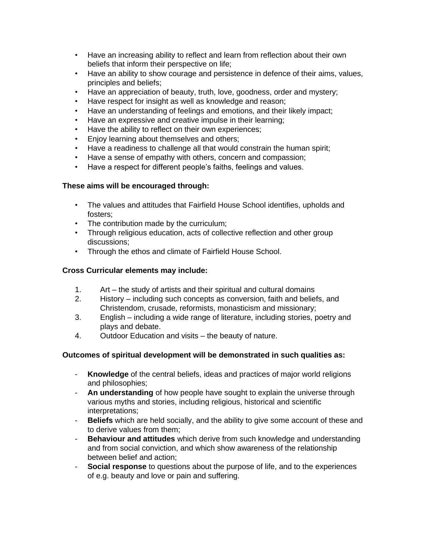- Have an increasing ability to reflect and learn from reflection about their own beliefs that inform their perspective on life;
- Have an ability to show courage and persistence in defence of their aims, values, principles and beliefs;
- Have an appreciation of beauty, truth, love, goodness, order and mystery;
- Have respect for insight as well as knowledge and reason;
- Have an understanding of feelings and emotions, and their likely impact;
- Have an expressive and creative impulse in their learning;
- Have the ability to reflect on their own experiences;
- Enjoy learning about themselves and others;
- Have a readiness to challenge all that would constrain the human spirit;
- Have a sense of empathy with others, concern and compassion;
- Have a respect for different people's faiths, feelings and values.

## **These aims will be encouraged through:**

- The values and attitudes that Fairfield House School identifies, upholds and fosters;
- The contribution made by the curriculum;
- Through religious education, acts of collective reflection and other group discussions;
- Through the ethos and climate of Fairfield House School.

## **Cross Curricular elements may include:**

- 1. Art the study of artists and their spiritual and cultural domains
- 2. History including such concepts as conversion, faith and beliefs, and Christendom, crusade, reformists, monasticism and missionary;
- 3. English including a wide range of literature, including stories, poetry and plays and debate.
- 4. Outdoor Education and visits the beauty of nature.

# **Outcomes of spiritual development will be demonstrated in such qualities as:**

- **Knowledge** of the central beliefs, ideas and practices of major world religions and philosophies;
- **An understanding** of how people have sought to explain the universe through various myths and stories, including religious, historical and scientific interpretations;
- **Beliefs** which are held socially, and the ability to give some account of these and to derive values from them;
- **Behaviour and attitudes** which derive from such knowledge and understanding and from social conviction, and which show awareness of the relationship between belief and action;
- **Social response** to questions about the purpose of life, and to the experiences of e.g. beauty and love or pain and suffering.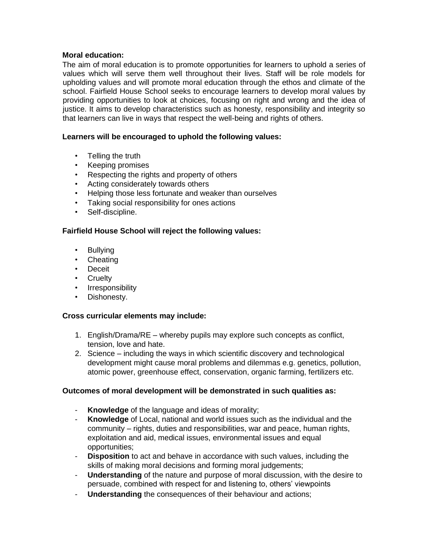## **Moral education:**

The aim of moral education is to promote opportunities for learners to uphold a series of values which will serve them well throughout their lives. Staff will be role models for upholding values and will promote moral education through the ethos and climate of the school. Fairfield House School seeks to encourage learners to develop moral values by providing opportunities to look at choices, focusing on right and wrong and the idea of justice. It aims to develop characteristics such as honesty, responsibility and integrity so that learners can live in ways that respect the well-being and rights of others.

## **Learners will be encouraged to uphold the following values:**

- Telling the truth
- Keeping promises
- Respecting the rights and property of others
- Acting considerately towards others
- Helping those less fortunate and weaker than ourselves
- Taking social responsibility for ones actions
- Self-discipline.

## **Fairfield House School will reject the following values:**

- Bullying
- Cheating
- Deceit
- Cruelty
- Irresponsibility
- Dishonesty.

## **Cross curricular elements may include:**

- 1. English/Drama/RE whereby pupils may explore such concepts as conflict, tension, love and hate.
- 2. Science including the ways in which scientific discovery and technological development might cause moral problems and dilemmas e.g. genetics, pollution, atomic power, greenhouse effect, conservation, organic farming, fertilizers etc.

## **Outcomes of moral development will be demonstrated in such qualities as:**

- **Knowledge** of the language and ideas of morality;
- Knowledge of Local, national and world issues such as the individual and the community – rights, duties and responsibilities, war and peace, human rights, exploitation and aid, medical issues, environmental issues and equal opportunities;
- **Disposition** to act and behave in accordance with such values, including the skills of making moral decisions and forming moral judgements;
- **Understanding** of the nature and purpose of moral discussion, with the desire to persuade, combined with respect for and listening to, others' viewpoints
- **Understanding** the consequences of their behaviour and actions;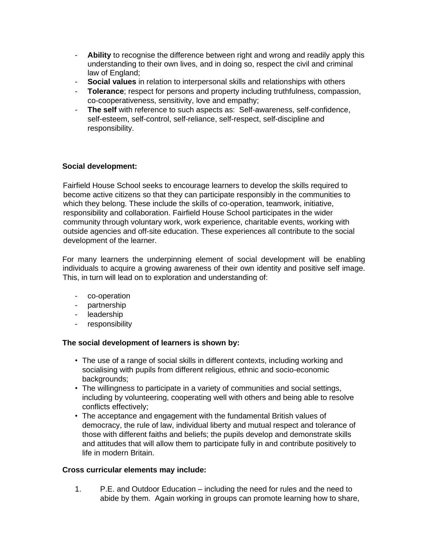- **Ability** to recognise the difference between right and wrong and readily apply this understanding to their own lives, and in doing so, respect the civil and criminal law of England;
- **Social values** in relation to interpersonal skills and relationships with others
- **Tolerance**; respect for persons and property including truthfulness, compassion, co-cooperativeness, sensitivity, love and empathy;
- **The self** with reference to such aspects as: Self-awareness, self-confidence, self-esteem, self-control, self-reliance, self-respect, self-discipline and responsibility.

## **Social development:**

Fairfield House School seeks to encourage learners to develop the skills required to become active citizens so that they can participate responsibly in the communities to which they belong. These include the skills of co-operation, teamwork, initiative, responsibility and collaboration. Fairfield House School participates in the wider community through voluntary work, work experience, charitable events, working with outside agencies and off-site education. These experiences all contribute to the social development of the learner.

For many learners the underpinning element of social development will be enabling individuals to acquire a growing awareness of their own identity and positive self image. This, in turn will lead on to exploration and understanding of:

- co-operation
- partnership
- leadership
- responsibility

## **The social development of learners is shown by:**

- The use of a range of social skills in different contexts, including working and socialising with pupils from different religious, ethnic and socio-economic backgrounds;
- The willingness to participate in a variety of communities and social settings, including by volunteering, cooperating well with others and being able to resolve conflicts effectively;
- The acceptance and engagement with the fundamental British values of democracy, the rule of law, individual liberty and mutual respect and tolerance of those with different faiths and beliefs; the pupils develop and demonstrate skills and attitudes that will allow them to participate fully in and contribute positively to life in modern Britain.

## **Cross curricular elements may include:**

1. P.E. and Outdoor Education – including the need for rules and the need to abide by them. Again working in groups can promote learning how to share,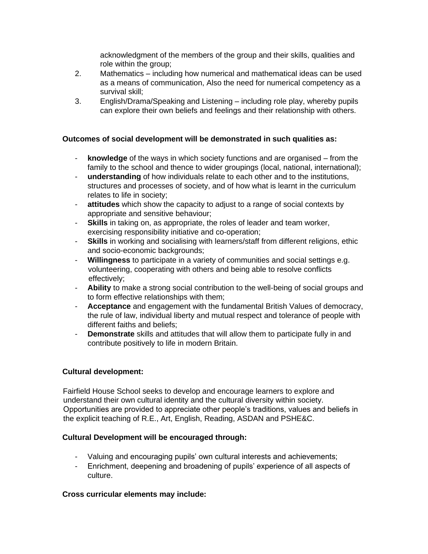acknowledgment of the members of the group and their skills, qualities and role within the group;

- 2. Mathematics including how numerical and mathematical ideas can be used as a means of communication, Also the need for numerical competency as a survival skill;
- 3. English/Drama/Speaking and Listening including role play, whereby pupils can explore their own beliefs and feelings and their relationship with others.

## **Outcomes of social development will be demonstrated in such qualities as:**

- **knowledge** of the ways in which society functions and are organised from the family to the school and thence to wider groupings (local, national, international);
- **understanding** of how individuals relate to each other and to the institutions, structures and processes of society, and of how what is learnt in the curriculum relates to life in society;
- **attitudes** which show the capacity to adjust to a range of social contexts by appropriate and sensitive behaviour;
- **Skills** in taking on, as appropriate, the roles of leader and team worker, exercising responsibility initiative and co-operation;
- **Skills** in working and socialising with learners/staff from different religions, ethic and socio-economic backgrounds;
- **Willingness** to participate in a variety of communities and social settings e.g. volunteering, cooperating with others and being able to resolve conflicts effectively;
- **Ability** to make a strong social contribution to the well-being of social groups and to form effective relationships with them;
- **Acceptance** and engagement with the fundamental British Values of democracy, the rule of law, individual liberty and mutual respect and tolerance of people with different faiths and beliefs;
- **Demonstrate** skills and attitudes that will allow them to participate fully in and contribute positively to life in modern Britain.

## **Cultural development:**

Fairfield House School seeks to develop and encourage learners to explore and understand their own cultural identity and the cultural diversity within society. Opportunities are provided to appreciate other people's traditions, values and beliefs in the explicit teaching of R.E., Art, English, Reading, ASDAN and PSHE&C.

## **Cultural Development will be encouraged through:**

- Valuing and encouraging pupils' own cultural interests and achievements;
- Enrichment, deepening and broadening of pupils' experience of all aspects of culture.

## **Cross curricular elements may include:**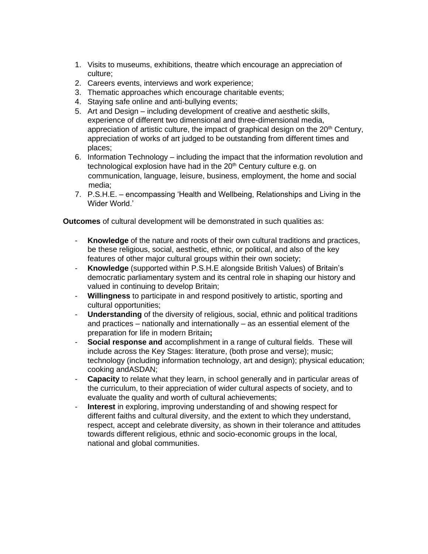- 1. Visits to museums, exhibitions, theatre which encourage an appreciation of culture;
- 2. Careers events, interviews and work experience;
- 3. Thematic approaches which encourage charitable events;
- 4. Staying safe online and anti-bullying events;
- 5. Art and Design including development of creative and aesthetic skills, experience of different two dimensional and three-dimensional media, appreciation of artistic culture, the impact of graphical design on the  $20<sup>th</sup>$  Century, appreciation of works of art judged to be outstanding from different times and places;
- 6. Information Technology including the impact that the information revolution and technological explosion have had in the  $20<sup>th</sup>$  Century culture e.g. on communication, language, leisure, business, employment, the home and social media;
- 7. P.S.H.E. encompassing 'Health and Wellbeing, Relationships and Living in the Wider World.'

**Outcomes** of cultural development will be demonstrated in such qualities as:

- **Knowledge** of the nature and roots of their own cultural traditions and practices, be these religious, social, aesthetic, ethnic, or political, and also of the key features of other major cultural groups within their own society;
- **Knowledge** (supported within P.S.H.E alongside British Values) of Britain's democratic parliamentary system and its central role in shaping our history and valued in continuing to develop Britain;
- **Willingness** to participate in and respond positively to artistic, sporting and cultural opportunities;
- **Understanding** of the diversity of religious, social, ethnic and political traditions and practices – nationally and internationally – as an essential element of the preparation for life in modern Britain**;**
- **Social response and** accomplishment in a range of cultural fields. These will include across the Key Stages: literature, (both prose and verse); music; technology (including information technology, art and design); physical education; cooking andASDAN;
- **Capacity** to relate what they learn, in school generally and in particular areas of the curriculum, to their appreciation of wider cultural aspects of society, and to evaluate the quality and worth of cultural achievements;
- **Interest** in exploring, improving understanding of and showing respect for different faiths and cultural diversity, and the extent to which they understand, respect, accept and celebrate diversity, as shown in their tolerance and attitudes towards different religious, ethnic and socio-economic groups in the local, national and global communities.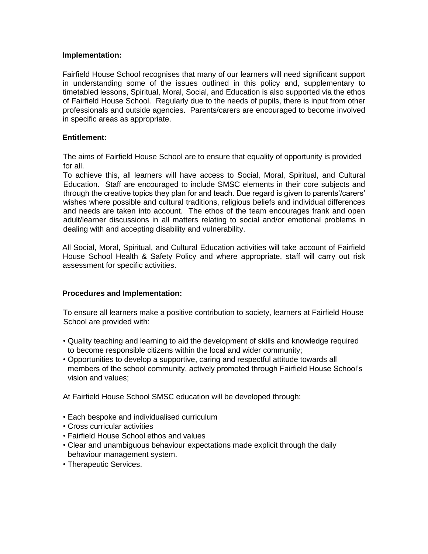#### **Implementation:**

Fairfield House School recognises that many of our learners will need significant support in understanding some of the issues outlined in this policy and, supplementary to timetabled lessons, Spiritual, Moral, Social, and Education is also supported via the ethos of Fairfield House School. Regularly due to the needs of pupils, there is input from other professionals and outside agencies. Parents/carers are encouraged to become involved in specific areas as appropriate.

## **Entitlement:**

The aims of Fairfield House School are to ensure that equality of opportunity is provided for all.

To achieve this, all learners will have access to Social, Moral, Spiritual, and Cultural Education. Staff are encouraged to include SMSC elements in their core subjects and through the creative topics they plan for and teach. Due regard is given to parents'/carers' wishes where possible and cultural traditions, religious beliefs and individual differences and needs are taken into account. The ethos of the team encourages frank and open adult/learner discussions in all matters relating to social and/or emotional problems in dealing with and accepting disability and vulnerability.

All Social, Moral, Spiritual, and Cultural Education activities will take account of Fairfield House School Health & Safety Policy and where appropriate, staff will carry out risk assessment for specific activities.

#### **Procedures and Implementation:**

To ensure all learners make a positive contribution to society, learners at Fairfield House School are provided with:

- Quality teaching and learning to aid the development of skills and knowledge required to become responsible citizens within the local and wider community;
- Opportunities to develop a supportive, caring and respectful attitude towards all members of the school community, actively promoted through Fairfield House School's vision and values;

At Fairfield House School SMSC education will be developed through:

- Each bespoke and individualised curriculum
- Cross curricular activities
- Fairfield House School ethos and values
- Clear and unambiguous behaviour expectations made explicit through the daily behaviour management system.
- Therapeutic Services.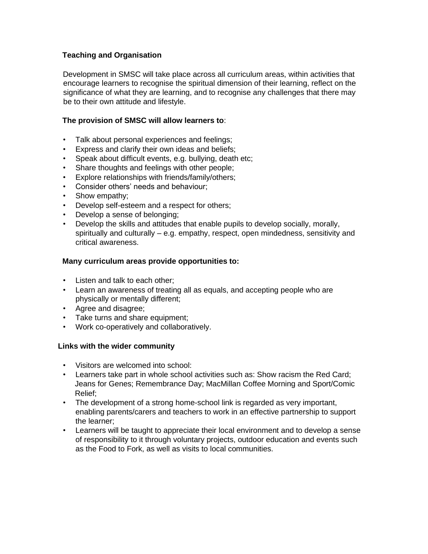## **Teaching and Organisation**

Development in SMSC will take place across all curriculum areas, within activities that encourage learners to recognise the spiritual dimension of their learning, reflect on the significance of what they are learning, and to recognise any challenges that there may be to their own attitude and lifestyle.

## **The provision of SMSC will allow learners to**:

- Talk about personal experiences and feelings;
- Express and clarify their own ideas and beliefs;
- Speak about difficult events, e.g. bullying, death etc;
- Share thoughts and feelings with other people;
- Explore relationships with friends/family/others;
- Consider others' needs and behaviour;
- Show empathy;
- Develop self-esteem and a respect for others;
- Develop a sense of belonging;
- Develop the skills and attitudes that enable pupils to develop socially, morally, spiritually and culturally – e.g. empathy, respect, open mindedness, sensitivity and critical awareness.

## **Many curriculum areas provide opportunities to:**

- Listen and talk to each other;
- Learn an awareness of treating all as equals, and accepting people who are physically or mentally different;
- Agree and disagree;
- Take turns and share equipment;
- Work co-operatively and collaboratively.

## **Links with the wider community**

- Visitors are welcomed into school:
- Learners take part in whole school activities such as: Show racism the Red Card; Jeans for Genes; Remembrance Day; MacMillan Coffee Morning and Sport/Comic Relief;
- The development of a strong home-school link is regarded as very important, enabling parents/carers and teachers to work in an effective partnership to support the learner;
- Learners will be taught to appreciate their local environment and to develop a sense of responsibility to it through voluntary projects, outdoor education and events such as the Food to Fork, as well as visits to local communities.